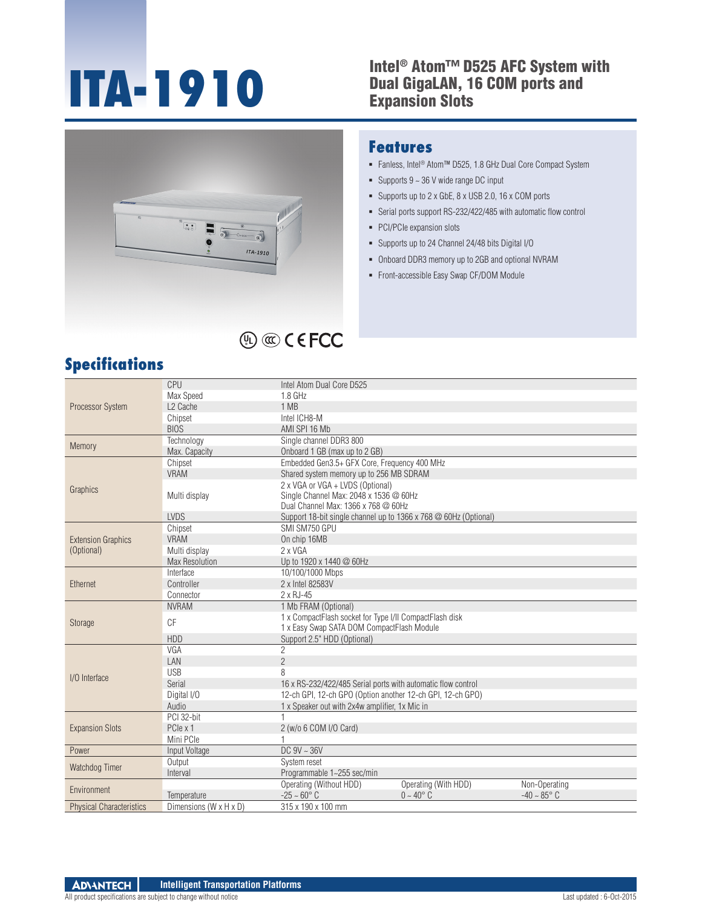#### **ITA-1910** Intel® Atom™ D525 AFC System with<br>Expansion Slots Dual GigaLAN, 16 COM ports and Expansion Slots



#### **Features**

- Fanless, Intel® Atom™ D525, 1.8 GHz Dual Core Compact System
- Supports  $9 \sim 36$  V wide range DC input
- Supports up to 2 x GbE, 8 x USB 2.0, 16 x COM ports
- Serial ports support RS-232/422/485 with automatic flow control
- PCI/PCIe expansion slots
- Supports up to 24 Channel 24/48 bits Digital I/O
- Onboard DDR3 memory up to 2GB and optional NVRAM
- Front-accessible Easy Swap CF/DOM Module

## **Specifications**

| Processor System                        | CPU                                  | Intel Atom Dual Core D525                                        |                      |                         |
|-----------------------------------------|--------------------------------------|------------------------------------------------------------------|----------------------|-------------------------|
|                                         | Max Speed                            | $1.8$ GHz                                                        |                      |                         |
|                                         | L <sub>2</sub> Cache                 | 1 MB                                                             |                      |                         |
|                                         | Chipset                              | Intel ICH8-M                                                     |                      |                         |
|                                         | <b>BIOS</b>                          | AMI SPI 16 Mb                                                    |                      |                         |
| Memory                                  | Technology                           | Single channel DDR3 800                                          |                      |                         |
|                                         | Max. Capacity                        | Onboard 1 GB (max up to 2 GB)                                    |                      |                         |
| Graphics                                | Chipset                              | Embedded Gen3.5+ GFX Core, Frequency 400 MHz                     |                      |                         |
|                                         | <b>VRAM</b>                          | Shared system memory up to 256 MB SDRAM                          |                      |                         |
|                                         |                                      | 2 x VGA or VGA + LVDS (Optional)                                 |                      |                         |
|                                         | Multi display                        | Single Channel Max: 2048 x 1536 @ 60Hz                           |                      |                         |
|                                         |                                      | Dual Channel Max: 1366 x 768 @ 60Hz                              |                      |                         |
|                                         | <b>LVDS</b>                          | Support 18-bit single channel up to 1366 x 768 @ 60Hz (Optional) |                      |                         |
| <b>Extension Graphics</b><br>(Optional) | Chipset                              | SMI SM750 GPU                                                    |                      |                         |
|                                         | <b>VRAM</b>                          | On chip 16MB                                                     |                      |                         |
|                                         | Multi display                        | 2 x VGA                                                          |                      |                         |
|                                         | <b>Max Resolution</b>                | Up to 1920 x 1440 @ 60Hz                                         |                      |                         |
|                                         | Interface                            | 10/100/1000 Mbps                                                 |                      |                         |
| Ethernet                                | Controller                           | 2 x Intel 82583V                                                 |                      |                         |
|                                         | Connector                            | 2 x RJ-45                                                        |                      |                         |
|                                         | <b>NVRAM</b>                         | 1 Mb FRAM (Optional)                                             |                      |                         |
| Storage                                 | CF                                   | 1 x CompactFlash socket for Type I/II CompactFlash disk          |                      |                         |
|                                         |                                      | 1 x Easy Swap SATA DOM CompactFlash Module                       |                      |                         |
|                                         | <b>HDD</b>                           | Support 2.5" HDD (Optional)                                      |                      |                         |
|                                         | VGA                                  | $\overline{2}$                                                   |                      |                         |
|                                         | LAN                                  | $\overline{2}$                                                   |                      |                         |
| I/O Interface                           | <b>USB</b>                           | 8                                                                |                      |                         |
|                                         | Serial                               | 16 x RS-232/422/485 Serial ports with automatic flow control     |                      |                         |
|                                         | Digital I/O                          | 12-ch GPI, 12-ch GPO (Option another 12-ch GPI, 12-ch GPO)       |                      |                         |
|                                         | Audio                                | 1 x Speaker out with 2x4w amplifier, 1x Mic in                   |                      |                         |
| <b>Expansion Slots</b>                  | PCI 32-bit                           |                                                                  |                      |                         |
|                                         | PCle x 1                             | 2 (w/o 6 COM I/O Card)                                           |                      |                         |
|                                         | Mini PCIe                            |                                                                  |                      |                         |
| Power                                   | Input Voltage                        | $DC$ 9V $\sim$ 36V                                               |                      |                         |
| Watchdog Timer                          | Output                               | System reset                                                     |                      |                         |
|                                         | Interval                             | Programmable 1~255 sec/min                                       |                      |                         |
| Environment                             |                                      | Operating (Without HDD)                                          | Operating (With HDD) | Non-Operating           |
|                                         | Temperature                          | $-25 - 60^{\circ}$ C<br>$0 - 40^{\circ}$ C                       |                      | $-40 \sim 85^{\circ}$ C |
| <b>Physical Characteristics</b>         | Dimensions ( $W \times H \times D$ ) | 315 x 190 x 100 mm                                               |                      |                         |